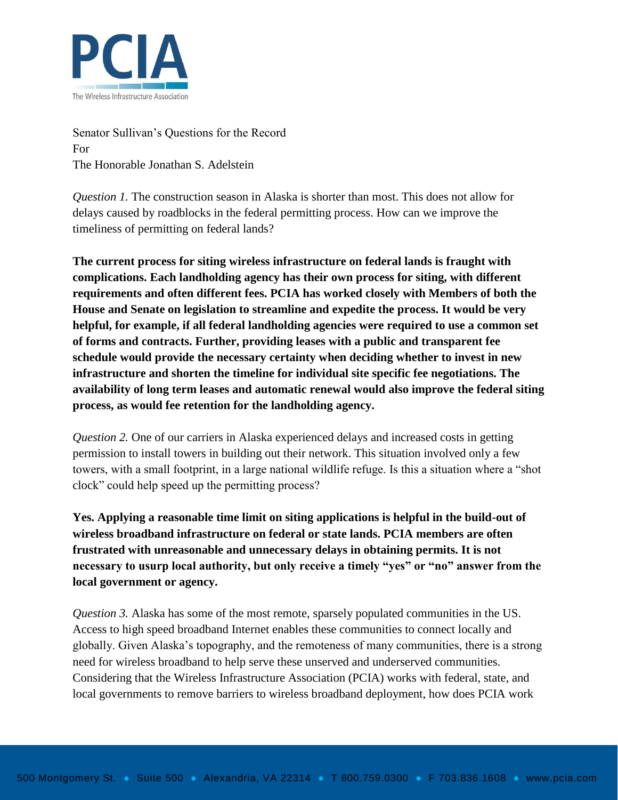

Senator Sullivan's Questions for the Record For The Honorable Jonathan S. Adelstein

*Question 1.* The construction season in Alaska is shorter than most. This does not allow for delays caused by roadblocks in the federal permitting process. How can we improve the timeliness of permitting on federal lands?

**The current process for siting wireless infrastructure on federal lands is fraught with complications. Each landholding agency has their own process for siting, with different requirements and often different fees. PCIA has worked closely with Members of both the House and Senate on legislation to streamline and expedite the process. It would be very helpful, for example, if all federal landholding agencies were required to use a common set of forms and contracts. Further, providing leases with a public and transparent fee schedule would provide the necessary certainty when deciding whether to invest in new infrastructure and shorten the timeline for individual site specific fee negotiations. The availability of long term leases and automatic renewal would also improve the federal siting process, as would fee retention for the landholding agency.** 

*Question 2.* One of our carriers in Alaska experienced delays and increased costs in getting permission to install towers in building out their network. This situation involved only a few towers, with a small footprint, in a large national wildlife refuge. Is this a situation where a "shot clock" could help speed up the permitting process?

**Yes. Applying a reasonable time limit on siting applications is helpful in the build-out of wireless broadband infrastructure on federal or state lands. PCIA members are often frustrated with unreasonable and unnecessary delays in obtaining permits. It is not necessary to usurp local authority, but only receive a timely "yes" or "no" answer from the local government or agency.**

*Question 3.* Alaska has some of the most remote, sparsely populated communities in the US. Access to high speed broadband Internet enables these communities to connect locally and globally. Given Alaska's topography, and the remoteness of many communities, there is a strong need for wireless broadband to help serve these unserved and underserved communities. Considering that the Wireless Infrastructure Association (PCIA) works with federal, state, and local governments to remove barriers to wireless broadband deployment, how does PCIA work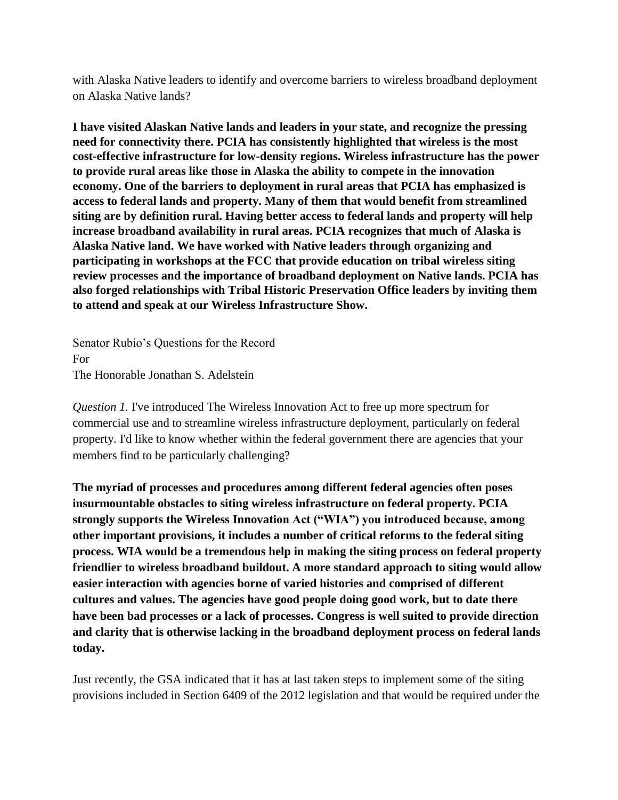with Alaska Native leaders to identify and overcome barriers to wireless broadband deployment on Alaska Native lands?

**I have visited Alaskan Native lands and leaders in your state, and recognize the pressing need for connectivity there. PCIA has consistently highlighted that wireless is the most cost-effective infrastructure for low-density regions. Wireless infrastructure has the power to provide rural areas like those in Alaska the ability to compete in the innovation economy. One of the barriers to deployment in rural areas that PCIA has emphasized is access to federal lands and property. Many of them that would benefit from streamlined siting are by definition rural. Having better access to federal lands and property will help increase broadband availability in rural areas. PCIA recognizes that much of Alaska is Alaska Native land. We have worked with Native leaders through organizing and participating in workshops at the FCC that provide education on tribal wireless siting review processes and the importance of broadband deployment on Native lands. PCIA has also forged relationships with Tribal Historic Preservation Office leaders by inviting them to attend and speak at our Wireless Infrastructure Show.**

Senator Rubio's Questions for the Record For The Honorable Jonathan S. Adelstein

*Question 1.* I've introduced The Wireless Innovation Act to free up more spectrum for commercial use and to streamline wireless infrastructure deployment, particularly on federal property. I'd like to know whether within the federal government there are agencies that your members find to be particularly challenging?

**The myriad of processes and procedures among different federal agencies often poses insurmountable obstacles to siting wireless infrastructure on federal property. PCIA strongly supports the Wireless Innovation Act ("WIA") you introduced because, among other important provisions, it includes a number of critical reforms to the federal siting process. WIA would be a tremendous help in making the siting process on federal property friendlier to wireless broadband buildout. A more standard approach to siting would allow easier interaction with agencies borne of varied histories and comprised of different cultures and values. The agencies have good people doing good work, but to date there have been bad processes or a lack of processes. Congress is well suited to provide direction and clarity that is otherwise lacking in the broadband deployment process on federal lands today.** 

Just recently, the GSA indicated that it has at last taken steps to implement some of the siting provisions included in Section 6409 of the 2012 legislation and that would be required under the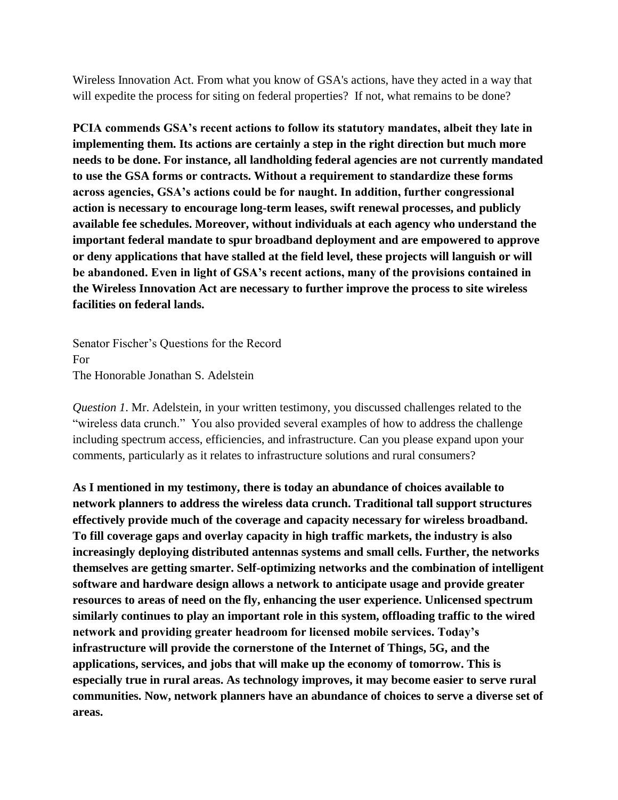Wireless Innovation Act. From what you know of GSA's actions, have they acted in a way that will expedite the process for siting on federal properties? If not, what remains to be done?

**PCIA commends GSA's recent actions to follow its statutory mandates, albeit they late in implementing them. Its actions are certainly a step in the right direction but much more needs to be done. For instance, all landholding federal agencies are not currently mandated to use the GSA forms or contracts. Without a requirement to standardize these forms across agencies, GSA's actions could be for naught. In addition, further congressional action is necessary to encourage long-term leases, swift renewal processes, and publicly available fee schedules. Moreover, without individuals at each agency who understand the important federal mandate to spur broadband deployment and are empowered to approve or deny applications that have stalled at the field level, these projects will languish or will be abandoned. Even in light of GSA's recent actions, many of the provisions contained in the Wireless Innovation Act are necessary to further improve the process to site wireless facilities on federal lands.**

Senator Fischer's Questions for the Record For The Honorable Jonathan S. Adelstein

*Question 1*. Mr. Adelstein, in your written testimony, you discussed challenges related to the "wireless data crunch." You also provided several examples of how to address the challenge including spectrum access, efficiencies, and infrastructure. Can you please expand upon your comments, particularly as it relates to infrastructure solutions and rural consumers?

**As I mentioned in my testimony, there is today an abundance of choices available to network planners to address the wireless data crunch. Traditional tall support structures effectively provide much of the coverage and capacity necessary for wireless broadband. To fill coverage gaps and overlay capacity in high traffic markets, the industry is also increasingly deploying distributed antennas systems and small cells. Further, the networks themselves are getting smarter. Self-optimizing networks and the combination of intelligent software and hardware design allows a network to anticipate usage and provide greater resources to areas of need on the fly, enhancing the user experience. Unlicensed spectrum similarly continues to play an important role in this system, offloading traffic to the wired network and providing greater headroom for licensed mobile services. Today's infrastructure will provide the cornerstone of the Internet of Things, 5G, and the applications, services, and jobs that will make up the economy of tomorrow. This is especially true in rural areas. As technology improves, it may become easier to serve rural communities. Now, network planners have an abundance of choices to serve a diverse set of areas.**